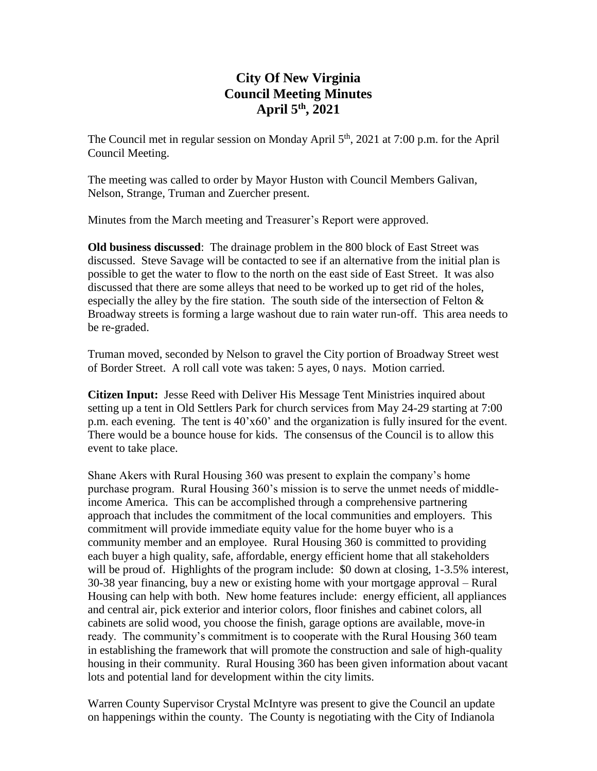# **City Of New Virginia Council Meeting Minutes April 5th , 2021**

The Council met in regular session on Monday April 5<sup>th</sup>, 2021 at 7:00 p.m. for the April Council Meeting.

The meeting was called to order by Mayor Huston with Council Members Galivan, Nelson, Strange, Truman and Zuercher present.

Minutes from the March meeting and Treasurer's Report were approved.

**Old business discussed**: The drainage problem in the 800 block of East Street was discussed. Steve Savage will be contacted to see if an alternative from the initial plan is possible to get the water to flow to the north on the east side of East Street. It was also discussed that there are some alleys that need to be worked up to get rid of the holes, especially the alley by the fire station. The south side of the intersection of Felton  $\&$ Broadway streets is forming a large washout due to rain water run-off. This area needs to be re-graded.

Truman moved, seconded by Nelson to gravel the City portion of Broadway Street west of Border Street. A roll call vote was taken: 5 ayes, 0 nays. Motion carried.

**Citizen Input:** Jesse Reed with Deliver His Message Tent Ministries inquired about setting up a tent in Old Settlers Park for church services from May 24-29 starting at 7:00 p.m. each evening. The tent is 40'x60' and the organization is fully insured for the event. There would be a bounce house for kids. The consensus of the Council is to allow this event to take place.

Shane Akers with Rural Housing 360 was present to explain the company's home purchase program. Rural Housing 360's mission is to serve the unmet needs of middleincome America. This can be accomplished through a comprehensive partnering approach that includes the commitment of the local communities and employers. This commitment will provide immediate equity value for the home buyer who is a community member and an employee. Rural Housing 360 is committed to providing each buyer a high quality, safe, affordable, energy efficient home that all stakeholders will be proud of. Highlights of the program include: \$0 down at closing, 1-3.5% interest, 30-38 year financing, buy a new or existing home with your mortgage approval – Rural Housing can help with both. New home features include: energy efficient, all appliances and central air, pick exterior and interior colors, floor finishes and cabinet colors, all cabinets are solid wood, you choose the finish, garage options are available, move-in ready. The community's commitment is to cooperate with the Rural Housing 360 team in establishing the framework that will promote the construction and sale of high-quality housing in their community. Rural Housing 360 has been given information about vacant lots and potential land for development within the city limits.

Warren County Supervisor Crystal McIntyre was present to give the Council an update on happenings within the county. The County is negotiating with the City of Indianola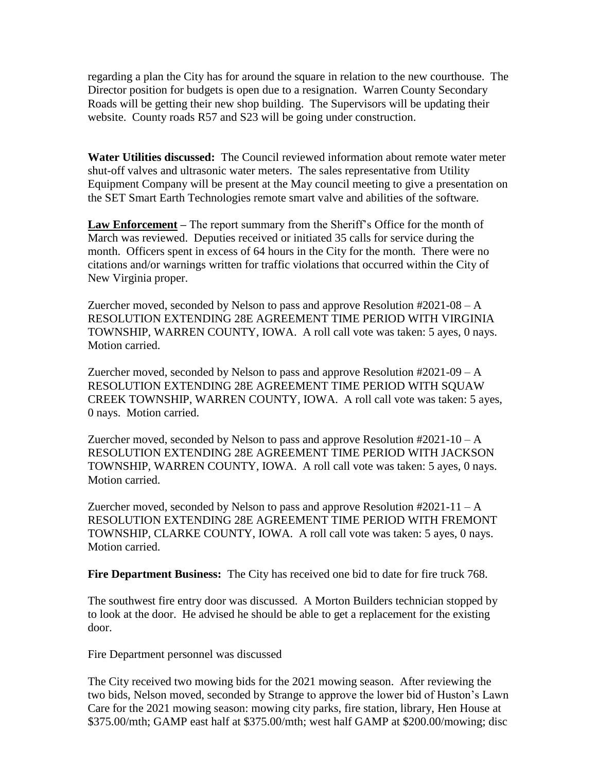regarding a plan the City has for around the square in relation to the new courthouse. The Director position for budgets is open due to a resignation. Warren County Secondary Roads will be getting their new shop building. The Supervisors will be updating their website. County roads R57 and S23 will be going under construction.

**Water Utilities discussed:** The Council reviewed information about remote water meter shut-off valves and ultrasonic water meters. The sales representative from Utility Equipment Company will be present at the May council meeting to give a presentation on the SET Smart Earth Technologies remote smart valve and abilities of the software.

**Law Enforcement –** The report summary from the Sheriff's Office for the month of March was reviewed. Deputies received or initiated 35 calls for service during the month. Officers spent in excess of 64 hours in the City for the month. There were no citations and/or warnings written for traffic violations that occurred within the City of New Virginia proper.

Zuercher moved, seconded by Nelson to pass and approve Resolution #2021-08 – A RESOLUTION EXTENDING 28E AGREEMENT TIME PERIOD WITH VIRGINIA TOWNSHIP, WARREN COUNTY, IOWA. A roll call vote was taken: 5 ayes, 0 nays. Motion carried.

Zuercher moved, seconded by Nelson to pass and approve Resolution #2021-09 – A RESOLUTION EXTENDING 28E AGREEMENT TIME PERIOD WITH SQUAW CREEK TOWNSHIP, WARREN COUNTY, IOWA. A roll call vote was taken: 5 ayes, 0 nays. Motion carried.

Zuercher moved, seconded by Nelson to pass and approve Resolution  $\text{\#2021-10-A}$ RESOLUTION EXTENDING 28E AGREEMENT TIME PERIOD WITH JACKSON TOWNSHIP, WARREN COUNTY, IOWA. A roll call vote was taken: 5 ayes, 0 nays. Motion carried.

Zuercher moved, seconded by Nelson to pass and approve Resolution  $#2021-11-A$ RESOLUTION EXTENDING 28E AGREEMENT TIME PERIOD WITH FREMONT TOWNSHIP, CLARKE COUNTY, IOWA. A roll call vote was taken: 5 ayes, 0 nays. Motion carried.

**Fire Department Business:** The City has received one bid to date for fire truck 768.

The southwest fire entry door was discussed. A Morton Builders technician stopped by to look at the door. He advised he should be able to get a replacement for the existing door.

Fire Department personnel was discussed

The City received two mowing bids for the 2021 mowing season. After reviewing the two bids, Nelson moved, seconded by Strange to approve the lower bid of Huston's Lawn Care for the 2021 mowing season: mowing city parks, fire station, library, Hen House at \$375.00/mth; GAMP east half at \$375.00/mth; west half GAMP at \$200.00/mowing; disc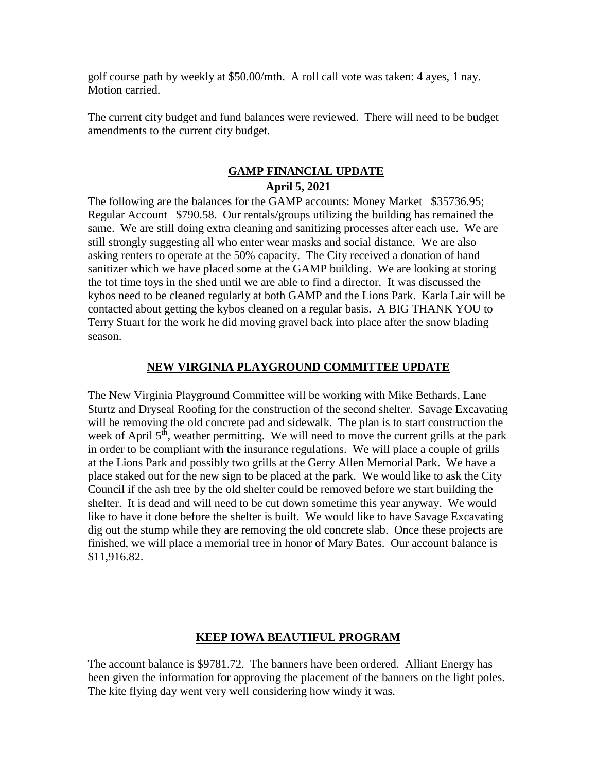golf course path by weekly at \$50.00/mth. A roll call vote was taken: 4 ayes, 1 nay. Motion carried.

The current city budget and fund balances were reviewed. There will need to be budget amendments to the current city budget.

## **GAMP FINANCIAL UPDATE April 5, 2021**

The following are the balances for the GAMP accounts: Money Market \$35736.95; Regular Account \$790.58. Our rentals/groups utilizing the building has remained the same. We are still doing extra cleaning and sanitizing processes after each use. We are still strongly suggesting all who enter wear masks and social distance. We are also asking renters to operate at the 50% capacity. The City received a donation of hand sanitizer which we have placed some at the GAMP building. We are looking at storing the tot time toys in the shed until we are able to find a director. It was discussed the kybos need to be cleaned regularly at both GAMP and the Lions Park. Karla Lair will be contacted about getting the kybos cleaned on a regular basis. A BIG THANK YOU to Terry Stuart for the work he did moving gravel back into place after the snow blading season.

#### **NEW VIRGINIA PLAYGROUND COMMITTEE UPDATE**

The New Virginia Playground Committee will be working with Mike Bethards, Lane Sturtz and Dryseal Roofing for the construction of the second shelter. Savage Excavating will be removing the old concrete pad and sidewalk. The plan is to start construction the week of April  $5<sup>th</sup>$ , weather permitting. We will need to move the current grills at the park in order to be compliant with the insurance regulations. We will place a couple of grills at the Lions Park and possibly two grills at the Gerry Allen Memorial Park. We have a place staked out for the new sign to be placed at the park. We would like to ask the City Council if the ash tree by the old shelter could be removed before we start building the shelter. It is dead and will need to be cut down sometime this year anyway. We would like to have it done before the shelter is built. We would like to have Savage Excavating dig out the stump while they are removing the old concrete slab. Once these projects are finished, we will place a memorial tree in honor of Mary Bates. Our account balance is \$11,916.82.

## **KEEP IOWA BEAUTIFUL PROGRAM**

The account balance is \$9781.72. The banners have been ordered. Alliant Energy has been given the information for approving the placement of the banners on the light poles. The kite flying day went very well considering how windy it was.